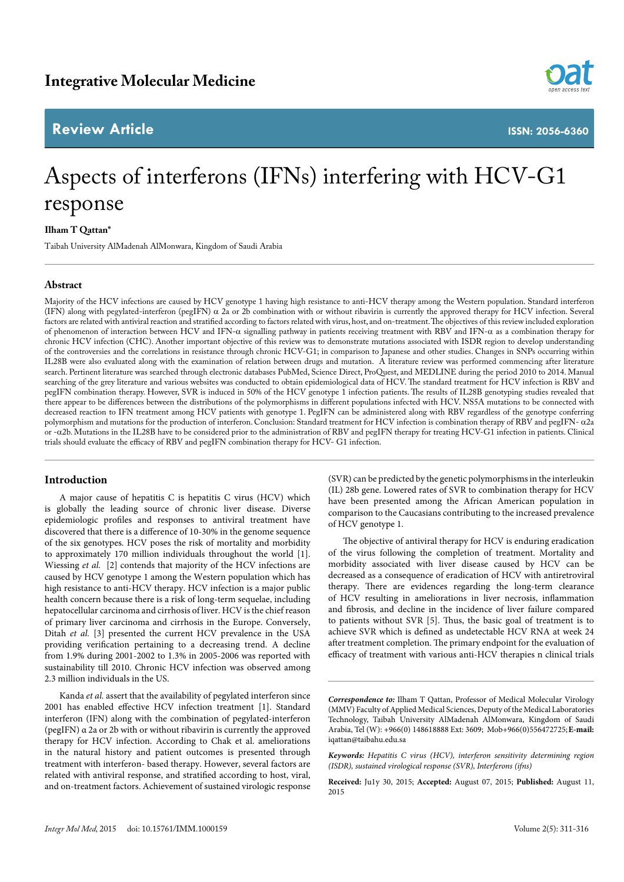# **Review Article**



**ISSN: 2056-6360**

# Aspects of interferons (IFNs) interfering with HCV-G1 response

# **Ilham T Qattan\***

Taibah University AlMadenah AlMonwara, Kingdom of Saudi Arabia

# **Abstract**

Majority of the HCV infections are caused by HCV genotype 1 having high resistance to anti-HCV therapy among the Western population. Standard interferon (IFN) along with pegylated-interferon (pegIFN)  $\alpha$  2a or 2b combination with or without ribavirin is currently the approved therapy for HCV infection. Several factors are related with antiviral reaction and stratified according to factors related with virus, host, and on-treatment. The objectives of this review included exploration of phenomenon of interaction between HCV and IFN-α signalling pathway in patients receiving treatment with RBV and IFN-α as a combination therapy for chronic HCV infection (CHC). Another important objective of this review was to demonstrate mutations associated with ISDR region to develop understanding of the controversies and the correlations in resistance through chronic HCV-G1; in comparison to Japanese and other studies. Changes in SNPs occurring within IL28B were also evaluated along with the examination of relation between drugs and mutation. A literature review was performed commencing after literature search. Pertinent literature was searched through electronic databases PubMed, Science Direct, ProQuest, and MEDLINE during the period 2010 to 2014. Manual searching of the grey literature and various websites was conducted to obtain epidemiological data of HCV. The standard treatment for HCV infection is RBV and pegIFN combination therapy. However, SVR is induced in 50% of the HCV genotype 1 infection patients. The results of IL28B genotyping studies revealed that there appear to be differences between the distributions of the polymorphisms in different populations infected with HCV. NS5A mutations to be connected with decreased reaction to IFN treatment among HCV patients with genotype 1. PegIFN can be administered along with RBV regardless of the genotype conferring polymorphism and mutations for the production of interferon. Conclusion: Standard treatment for HCV infection is combination therapy of RBV and pegIFN- α2a or -α2b. Mutations in the IL28B have to be considered prior to the administration of RBV and pegIFN therapy for treating HCV-G1 infection in patients. Clinical trials should evaluate the efficacy of RBV and pegIFN combination therapy for HCV- G1 infection.

# **Introduction**

A major cause of hepatitis C is hepatitis C virus (HCV) which is globally the leading source of chronic liver disease. Diverse epidemiologic profiles and responses to antiviral treatment have discovered that there is a difference of 10-30% in the genome sequence of the six genotypes. HCV poses the risk of mortality and morbidity to approximately 170 million individuals throughout the world [1]. Wiessing *et al.* [2] contends that majority of the HCV infections are caused by HCV genotype 1 among the Western population which has high resistance to anti-HCV therapy. HCV infection is a major public health concern because there is a risk of long-term sequelae, including hepatocellular carcinoma and cirrhosis of liver. HCV is the chief reason of primary liver carcinoma and cirrhosis in the Europe. Conversely, Ditah *et al.* [3] presented the current HCV prevalence in the USA providing verification pertaining to a decreasing trend. A decline from 1.9% during 2001-2002 to 1.3% in 2005-2006 was reported with sustainability till 2010. Chronic HCV infection was observed among 2.3 million individuals in the US.

Kanda *et al.* assert that the availability of pegylated interferon since 2001 has enabled effective HCV infection treatment [1]. Standard interferon (IFN) along with the combination of pegylated-interferon (pegIFN) α 2a or 2b with or without ribavirin is currently the approved therapy for HCV infection. According to Chak et al. ameliorations in the natural history and patient outcomes is presented through treatment with interferon- based therapy. However, several factors are related with antiviral response, and stratified according to host, viral, and on-treatment factors. Achievement of sustained virologic response

(SVR) can be predicted by the genetic polymorphisms in the interleukin (IL) 28b gene. Lowered rates of SVR to combination therapy for HCV have been presented among the African American population in comparison to the Caucasians contributing to the increased prevalence of HCV genotype 1.

The objective of antiviral therapy for HCV is enduring eradication of the virus following the completion of treatment. Mortality and morbidity associated with liver disease caused by HCV can be decreased as a consequence of eradication of HCV with antiretroviral therapy. There are evidences regarding the long-term clearance of HCV resulting in ameliorations in liver necrosis, inflammation and fibrosis, and decline in the incidence of liver failure compared to patients without SVR [5]. Thus, the basic goal of treatment is to achieve SVR which is defined as undetectable HCV RNA at week 24 after treatment completion. The primary endpoint for the evaluation of efficacy of treatment with various anti-HCV therapies n clinical trials

**Received:** Ju1y 30, 2015; **Accepted:** August 07, 2015; **Published:** August 11, 2015

*Correspondence to:* Ilham T Qattan, Professor of Medical Molecular Virology (MMV) Faculty of Applied Medical Sciences, Deputy of the Medical Laboratories Technology, Taibah University AlMadenah AlMonwara, Kingdom of Saudi Arabia, Tel (W): +966(0) 148618888 Ext: 3609; Mob+966(0)556472725; **E-mail:** iqattan@taibahu.edu.sa

*Keywords: Hepatitis C virus (HCV), interferon sensitivity determining region (ISDR), sustained virological response (SVR), Interferons (ifns)*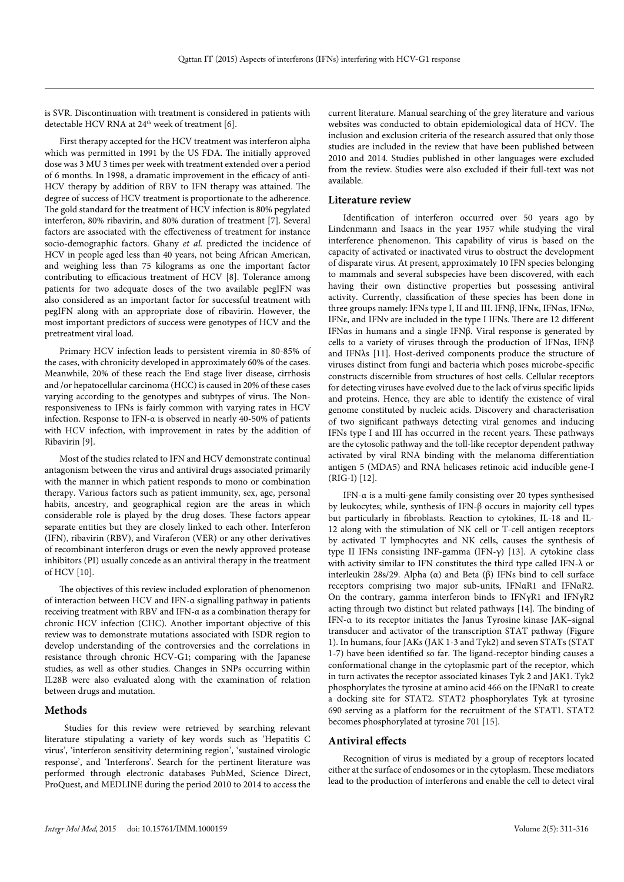is SVR. Discontinuation with treatment is considered in patients with detectable HCV RNA at 24<sup>th</sup> week of treatment [6].

First therapy accepted for the HCV treatment was interferon alpha which was permitted in 1991 by the US FDA. The initially approved dose was 3 MU 3 times per week with treatment extended over a period of 6 months. In 1998, a dramatic improvement in the efficacy of anti-HCV therapy by addition of RBV to IFN therapy was attained. The degree of success of HCV treatment is proportionate to the adherence. The gold standard for the treatment of HCV infection is 80% pegylated interferon, 80% ribavirin, and 80% duration of treatment [7]. Several factors are associated with the effectiveness of treatment for instance socio-demographic factors. Ghany *et al.* predicted the incidence of HCV in people aged less than 40 years, not being African American, and weighing less than 75 kilograms as one the important factor contributing to efficacious treatment of HCV [8]. Tolerance among patients for two adequate doses of the two available pegIFN was also considered as an important factor for successful treatment with pegIFN along with an appropriate dose of ribavirin. However, the most important predictors of success were genotypes of HCV and the pretreatment viral load.

Primary HCV infection leads to persistent viremia in 80-85% of the cases, with chronicity developed in approximately 60% of the cases. Meanwhile, 20% of these reach the End stage liver disease, cirrhosis and /or hepatocellular carcinoma (HCC) is caused in 20% of these cases varying according to the genotypes and subtypes of virus. The Nonresponsiveness to IFNs is fairly common with varying rates in HCV infection. Response to IFN-α is observed in nearly 40-50% of patients with HCV infection, with improvement in rates by the addition of Ribavirin [9].

Most of the studies related to IFN and HCV demonstrate continual antagonism between the virus and antiviral drugs associated primarily with the manner in which patient responds to mono or combination therapy. Various factors such as patient immunity, sex, age, personal habits, ancestry, and geographical region are the areas in which considerable role is played by the drug doses. These factors appear separate entities but they are closely linked to each other. Interferon (IFN), ribavirin (RBV), and Viraferon (VER) or any other derivatives of recombinant interferon drugs or even the newly approved protease inhibitors (PI) usually concede as an antiviral therapy in the treatment of HCV [10].

The objectives of this review included exploration of phenomenon of interaction between HCV and IFN-α signalling pathway in patients receiving treatment with RBV and IFN-α as a combination therapy for chronic HCV infection (CHC). Another important objective of this review was to demonstrate mutations associated with ISDR region to develop understanding of the controversies and the correlations in resistance through chronic HCV-G1; comparing with the Japanese studies, as well as other studies. Changes in SNPs occurring within IL28B were also evaluated along with the examination of relation between drugs and mutation.

### **Methods**

 Studies for this review were retrieved by searching relevant literature stipulating a variety of key words such as 'Hepatitis C virus', 'interferon sensitivity determining region', 'sustained virologic response', and 'Interferons'. Search for the pertinent literature was performed through electronic databases PubMed, Science Direct, ProQuest, and MEDLINE during the period 2010 to 2014 to access the

current literature. Manual searching of the grey literature and various websites was conducted to obtain epidemiological data of HCV. The inclusion and exclusion criteria of the research assured that only those studies are included in the review that have been published between 2010 and 2014. Studies published in other languages were excluded from the review. Studies were also excluded if their full-text was not available.

## **Literature review**

Identification of interferon occurred over 50 years ago by Lindenmann and Isaacs in the year 1957 while studying the viral interference phenomenon. This capability of virus is based on the capacity of activated or inactivated virus to obstruct the development of disparate virus. At present, approximately 10 IFN species belonging to mammals and several subspecies have been discovered, with each having their own distinctive properties but possessing antiviral activity. Currently, classification of these species has been done in three groups namely: IFNs type I, II and III. IFNβ, IFNκ, IFNαs, IFNω, IFNε, and IFNν are included in the type I IFNs. There are 12 different IFNαs in humans and a single IFNβ. Viral response is generated by cells to a variety of viruses through the production of IFNαs, IFNβ and IFNλs [11]. Host-derived components produce the structure of viruses distinct from fungi and bacteria which poses microbe-specific constructs discernible from structures of host cells. Cellular receptors for detecting viruses have evolved due to the lack of virus specific lipids and proteins. Hence, they are able to identify the existence of viral genome constituted by nucleic acids. Discovery and characterisation of two significant pathways detecting viral genomes and inducing IFNs type I and III has occurred in the recent years. These pathways are the cytosolic pathway and the toll-like receptor dependent pathway activated by viral RNA binding with the melanoma differentiation antigen 5 (MDA5) and RNA helicases retinoic acid inducible gene-I (RIG-I) [12].

IFN-α is a multi-gene family consisting over 20 types synthesised by leukocytes; while, synthesis of IFN-β occurs in majority cell types but particularly in fibroblasts. Reaction to cytokines, IL-18 and IL-12 along with the stimulation of NK cell or T-cell antigen receptors by activated T lymphocytes and NK cells, causes the synthesis of type II IFNs consisting INF-gamma (IFN-γ) [13]. A cytokine class with activity similar to IFN constitutes the third type called IFN-λ or interleukin 28s/29. Alpha (α) and Beta (β) IFNs bind to cell surface receptors comprising two major sub-units, IFNαR1 and IFNαR2. On the contrary, gamma interferon binds to IFNγR1 and IFNγR2 acting through two distinct but related pathways [14]. The binding of IFN-α to its receptor initiates the Janus Tyrosine kinase JAK–signal transducer and activator of the transcription STAT pathway (Figure 1). In humans, four JAKs (JAK 1-3 and Tyk2) and seven STATs (STAT 1-7) have been identified so far. The ligand-receptor binding causes a conformational change in the cytoplasmic part of the receptor, which in turn activates the receptor associated kinases Tyk 2 and JAK1. Tyk2 phosphorylates the tyrosine at amino acid 466 on the IFNαR1 to create a docking site for STAT2. STAT2 phosphorylates Tyk at tyrosine 690 serving as a platform for the recruitment of the STAT1. STAT2 becomes phosphorylated at tyrosine 701 [15].

#### **Antiviral effects**

Recognition of virus is mediated by a group of receptors located either at the surface of endosomes or in the cytoplasm. These mediators lead to the production of interferons and enable the cell to detect viral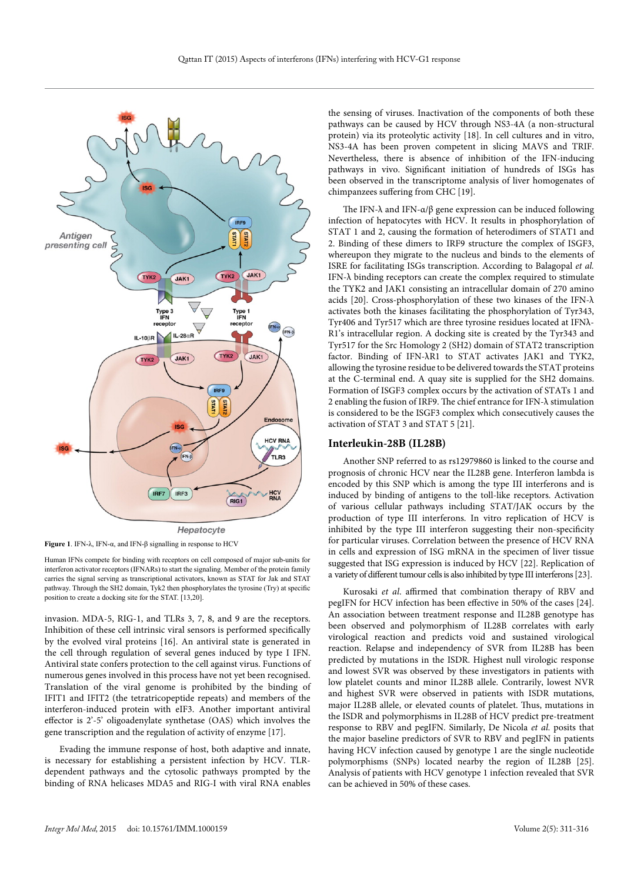



Human IFNs compete for binding with receptors on cell composed of major sub-units for interferon activator receptors (IFNARs) to start the signaling. Member of the protein family carries the signal serving as transcriptional activators, known as STAT for Jak and STAT pathway. Through the SH2 domain, Tyk2 then phosphorylates the tyrosine (Try) at specific position to create a docking site for the STAT. [13,20].

invasion. MDA-5, RIG-1, and TLRs 3, 7, 8, and 9 are the receptors. Inhibition of these cell intrinsic viral sensors is performed specifically by the evolved viral proteins [16]. An antiviral state is generated in the cell through regulation of several genes induced by type I IFN. Antiviral state confers protection to the cell against virus. Functions of numerous genes involved in this process have not yet been recognised. Translation of the viral genome is prohibited by the binding of IFIT1 and IFIT2 (the tetratricopeptide repeats) and members of the interferon-induced protein with eIF3. Another important antiviral effector is 2'-5' oligoadenylate synthetase (OAS) which involves the gene transcription and the regulation of activity of enzyme [17].

Evading the immune response of host, both adaptive and innate, is necessary for establishing a persistent infection by HCV. TLRdependent pathways and the cytosolic pathways prompted by the binding of RNA helicases MDA5 and RIG-I with viral RNA enables

the sensing of viruses. Inactivation of the components of both these pathways can be caused by HCV through NS3-4A (a non-structural protein) via its proteolytic activity [18]. In cell cultures and in vitro, NS3-4A has been proven competent in slicing MAVS and TRIF. Nevertheless, there is absence of inhibition of the IFN-inducing pathways in vivo. Significant initiation of hundreds of ISGs has been observed in the transcriptome analysis of liver homogenates of chimpanzees suffering from CHC [19].

The IFN- $\lambda$  and IFN- $\alpha/\beta$  gene expression can be induced following infection of hepatocytes with HCV. It results in phosphorylation of STAT 1 and 2, causing the formation of heterodimers of STAT1 and 2. Binding of these dimers to IRF9 structure the complex of ISGF3, whereupon they migrate to the nucleus and binds to the elements of ISRE for facilitating ISGs transcription. According to Balagopal *et al.*  IFN-λ binding receptors can create the complex required to stimulate the TYK2 and JAK1 consisting an intracellular domain of 270 amino acids [20]. Cross-phosphorylation of these two kinases of the IFN-λ activates both the kinases facilitating the phosphorylation of Tyr343, Tyr406 and Tyr517 which are three tyrosine residues located at IFNλ-R1's intracellular region. A docking site is created by the Tyr343 and Tyr517 for the Src Homology 2 (SH2) domain of STAT2 transcription factor. Binding of IFN-λR1 to STAT activates JAK1 and TYK2, allowing the tyrosine residue to be delivered towards the STAT proteins at the C-terminal end. A quay site is supplied for the SH2 domains. Formation of ISGF3 complex occurs by the activation of STATs 1 and 2 enabling the fusion of IRF9. The chief entrance for IFN-λ stimulation is considered to be the ISGF3 complex which consecutively causes the activation of STAT 3 and STAT 5 [21].

#### **Interleukin-28B (IL28B)**

Another SNP referred to as rs12979860 is linked to the course and prognosis of chronic HCV near the IL28B gene. Interferon lambda is encoded by this SNP which is among the type III interferons and is induced by binding of antigens to the toll-like receptors. Activation of various cellular pathways including STAT/JAK occurs by the production of type III interferons. In vitro replication of HCV is inhibited by the type III interferon suggesting their non-specificity for particular viruses. Correlation between the presence of HCV RNA in cells and expression of ISG mRNA in the specimen of liver tissue suggested that ISG expression is induced by HCV [22]. Replication of a variety of different tumour cells is also inhibited by type III interferons [23].

Kurosaki *et al*. affirmed that combination therapy of RBV and pegIFN for HCV infection has been effective in 50% of the cases [24]. An association between treatment response and IL28B genotype has been observed and polymorphism of IL28B correlates with early virological reaction and predicts void and sustained virological reaction. Relapse and independency of SVR from IL28B has been predicted by mutations in the ISDR. Highest null virologic response and lowest SVR was observed by these investigators in patients with low platelet counts and minor IL28B allele. Contrarily, lowest NVR and highest SVR were observed in patients with ISDR mutations, major IL28B allele, or elevated counts of platelet. Thus, mutations in the ISDR and polymorphisms in IL28B of HCV predict pre-treatment response to RBV and pegIFN. Similarly, De Nicola *et al.* posits that the major baseline predictors of SVR to RBV and pegIFN in patients having HCV infection caused by genotype 1 are the single nucleotide polymorphisms (SNPs) located nearby the region of IL28B [25]. Analysis of patients with HCV genotype 1 infection revealed that SVR can be achieved in 50% of these cases.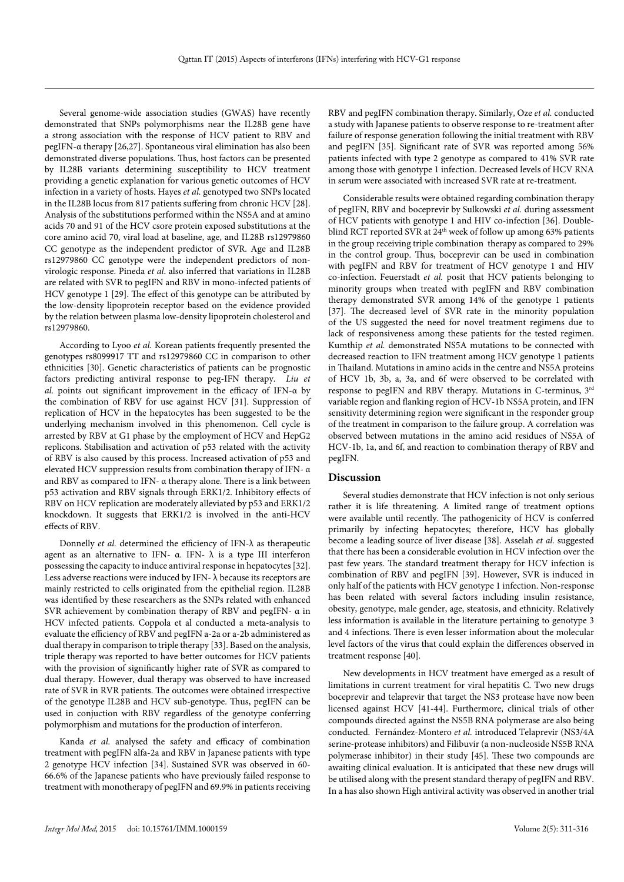Several genome-wide association studies (GWAS) have recently demonstrated that SNPs polymorphisms near the IL28B gene have a strong association with the response of HCV patient to RBV and pegIFN-α therapy [26,27]. Spontaneous viral elimination has also been demonstrated diverse populations. Thus, host factors can be presented by IL28B variants determining susceptibility to HCV treatment providing a genetic explanation for various genetic outcomes of HCV infection in a variety of hosts. Hayes *et al.* genotyped two SNPs located in the IL28B locus from 817 patients suffering from chronic HCV [28]. Analysis of the substitutions performed within the NS5A and at amino acids 70 and 91 of the HCV csore protein exposed substitutions at the core amino acid 70, viral load at baseline, age, and IL28B rs12979860 CC genotype as the independent predictor of SVR. Age and IL28B rs12979860 CC genotype were the independent predictors of nonvirologic response. Pineda *et al*. also inferred that variations in IL28B are related with SVR to pegIFN and RBV in mono-infected patients of HCV genotype 1 [29]. The effect of this genotype can be attributed by the low-density lipoprotein receptor based on the evidence provided by the relation between plasma low-density lipoprotein cholesterol and rs12979860.

According to Lyoo *et al.* Korean patients frequently presented the genotypes rs8099917 TT and rs12979860 CC in comparison to other ethnicities [30]. Genetic characteristics of patients can be prognostic factors predicting antiviral response to peg-IFN therapy. *Liu et al.* points out significant improvement in the efficacy of IFN-α by the combination of RBV for use against HCV [31]. Suppression of replication of HCV in the hepatocytes has been suggested to be the underlying mechanism involved in this phenomenon. Cell cycle is arrested by RBV at G1 phase by the employment of HCV and HepG2 replicons. Stabilisation and activation of p53 related with the activity of RBV is also caused by this process. Increased activation of p53 and elevated HCV suppression results from combination therapy of IFN- α and RBV as compared to IFN- α therapy alone. There is a link between p53 activation and RBV signals through ERK1/2. Inhibitory effects of RBV on HCV replication are moderately alleviated by p53 and ERK1/2 knockdown. It suggests that ERK1/2 is involved in the anti-HCV effects of RBV.

Donnelly *et al.* determined the efficiency of IFN-λ as therapeutic agent as an alternative to IFN-  $\alpha$ . IFN-  $\lambda$  is a type III interferon possessing the capacity to induce antiviral response in hepatocytes [32]. Less adverse reactions were induced by IFN- $\lambda$  because its receptors are mainly restricted to cells originated from the epithelial region. IL28B was identified by these researchers as the SNPs related with enhanced SVR achievement by combination therapy of RBV and pegIFN- α in HCV infected patients. Coppola et al conducted a meta-analysis to evaluate the efficiency of RBV and pegIFN a-2a or a-2b administered as dual therapy in comparison to triple therapy [33]. Based on the analysis, triple therapy was reported to have better outcomes for HCV patients with the provision of significantly higher rate of SVR as compared to dual therapy. However, dual therapy was observed to have increased rate of SVR in RVR patients. The outcomes were obtained irrespective of the genotype IL28B and HCV sub-genotype. Thus, pegIFN can be used in conjuction with RBV regardless of the genotype conferring polymorphism and mutations for the production of interferon.

Kanda *et al.* analysed the safety and efficacy of combination treatment with pegIFN alfa-2a and RBV in Japanese patients with type 2 genotype HCV infection [34]. Sustained SVR was observed in 60- 66.6% of the Japanese patients who have previously failed response to treatment with monotherapy of pegIFN and 69.9% in patients receiving

RBV and pegIFN combination therapy. Similarly, Oze *et al.* conducted a study with Japanese patients to observe response to re-treatment after failure of response generation following the initial treatment with RBV and pegIFN [35]. Significant rate of SVR was reported among 56% patients infected with type 2 genotype as compared to 41% SVR rate among those with genotype 1 infection. Decreased levels of HCV RNA in serum were associated with increased SVR rate at re-treatment.

Considerable results were obtained regarding combination therapy of pegIFN, RBV and boceprevir by Sulkowski *et al.* during assessment of HCV patients with genotype 1 and HIV co-infection [36]. Doubleblind RCT reported SVR at 24<sup>th</sup> week of follow up among 63% patients in the group receiving triple combination therapy as compared to 29% in the control group. Thus, boceprevir can be used in combination with pegIFN and RBV for treatment of HCV genotype 1 and HIV co-infection. Feuerstadt *et al.* posit that HCV patients belonging to minority groups when treated with pegIFN and RBV combination therapy demonstrated SVR among 14% of the genotype 1 patients [37]. The decreased level of SVR rate in the minority population of the US suggested the need for novel treatment regimens due to lack of responsiveness among these patients for the tested regimen. Kumthip *et al.* demonstrated NS5A mutations to be connected with decreased reaction to IFN treatment among HCV genotype 1 patients in Thailand. Mutations in amino acids in the centre and NS5A proteins of HCV 1b, 3b, a, 3a, and 6f were observed to be correlated with response to pegIFN and RBV therapy. Mutations in C-terminus, 3rd variable region and flanking region of HCV-1b NS5A protein, and IFN sensitivity determining region were significant in the responder group of the treatment in comparison to the failure group. A correlation was observed between mutations in the amino acid residues of NS5A of HCV-1b, 1a, and 6f, and reaction to combination therapy of RBV and pegIFN.

#### **Discussion**

Several studies demonstrate that HCV infection is not only serious rather it is life threatening. A limited range of treatment options were available until recently. The pathogenicity of HCV is conferred primarily by infecting hepatocytes; therefore, HCV has globally become a leading source of liver disease [38]. Asselah *et al.* suggested that there has been a considerable evolution in HCV infection over the past few years. The standard treatment therapy for HCV infection is combination of RBV and pegIFN [39]. However, SVR is induced in only half of the patients with HCV genotype 1 infection. Non-response has been related with several factors including insulin resistance, obesity, genotype, male gender, age, steatosis, and ethnicity. Relatively less information is available in the literature pertaining to genotype 3 and 4 infections. There is even lesser information about the molecular level factors of the virus that could explain the differences observed in treatment response [40].

New developments in HCV treatment have emerged as a result of limitations in current treatment for viral hepatitis C. Two new drugs boceprevir and telaprevir that target the NS3 protease have now been licensed against HCV [41-44]. Furthermore, clinical trials of other compounds directed against the NS5B RNA polymerase are also being conducted. Fernández-Montero *et al.* introduced Telaprevir (NS3/4A serine-protease inhibitors) and Filibuvir (a non-nucleoside NS5B RNA polymerase inhibitor) in their study [45]. These two compounds are awaiting clinical evaluation. It is anticipated that these new drugs will be utilised along with the present standard therapy of pegIFN and RBV. In a has also shown High antiviral activity was observed in another trial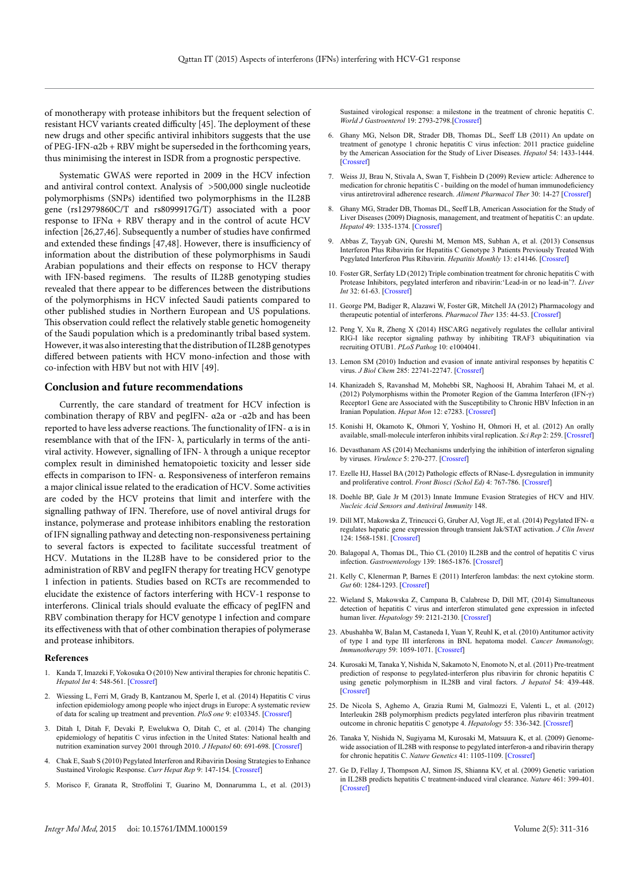of monotherapy with protease inhibitors but the frequent selection of resistant HCV variants created difficulty [45]. The deployment of these new drugs and other specific antiviral inhibitors suggests that the use of PEG-IFN-α2b + RBV might be superseded in the forthcoming years, thus minimising the interest in ISDR from a prognostic perspective.

Systematic GWAS were reported in 2009 in the HCV infection and antiviral control context. Analysis of >500,000 single nucleotide polymorphisms (SNPs) identified two polymorphisms in the IL28B gene (rs12979860C/T and rs8099917G/T) associated with a poor response to IFN $\alpha$  + RBV therapy and in the control of acute HCV infection [26,27,46]. Subsequently a number of studies have confirmed and extended these findings [47,48]. However, there is insufficiency of information about the distribution of these polymorphisms in Saudi Arabian populations and their effects on response to HCV therapy with IFN-based regimens. The results of IL28B genotyping studies revealed that there appear to be differences between the distributions of the polymorphisms in HCV infected Saudi patients compared to other published studies in Northern European and US populations. This observation could reflect the relatively stable genetic homogeneity of the Saudi population which is a predominantly tribal based system. However, it was also interesting that the distribution of IL28B genotypes differed between patients with HCV mono-infection and those with co-infection with HBV but not with HIV [49].

#### **Conclusion and future recommendations**

Currently, the care standard of treatment for HCV infection is combination therapy of RBV and pegIFN- α2a or -α2b and has been reported to have less adverse reactions. The functionality of IFN- α is in resemblance with that of the IFN- $λ$ , particularly in terms of the antiviral activity. However, signalling of IFN- λ through a unique receptor complex result in diminished hematopoietic toxicity and lesser side effects in comparison to IFN- α. Responsiveness of interferon remains a major clinical issue related to the eradication of HCV. Some activities are coded by the HCV proteins that limit and interfere with the signalling pathway of IFN. Therefore, use of novel antiviral drugs for instance, polymerase and protease inhibitors enabling the restoration of IFN signalling pathway and detecting non-responsiveness pertaining to several factors is expected to facilitate successful treatment of HCV. Mutations in the IL28B have to be considered prior to the administration of RBV and pegIFN therapy for treating HCV genotype 1 infection in patients. Studies based on RCTs are recommended to elucidate the existence of factors interfering with HCV-1 response to interferons. Clinical trials should evaluate the efficacy of pegIFN and RBV combination therapy for HCV genotype 1 infection and compare its effectiveness with that of other combination therapies of polymerase and protease inhibitors.

#### **References**

- 1. Kanda T, Imazeki F, Yokosuka O (2010) New antiviral therapies for chronic hepatitis C. *Hepatol Int* 4: 548-561. [\[Crossref\]](http://www.ncbi.nlm.nih.gov/pmc/articles/PMC2940000/)
- 2. Wiessing L, Ferri M, Grady B, Kantzanou M, Sperle I, et al. (2014) Hepatitis C virus infection epidemiology among people who inject drugs in Europe: A systematic review of data for scaling up treatment and prevention. *PloS one* 9: e103345. [[Crossref](http://www.ncbi.nlm.nih.gov/pubmed/25068274)]
- 3. Ditah I, Ditah F, Devaki P, Ewelukwa O, Ditah C, et al. (2014) The changing epidemiology of hepatitis C virus infection in the United States: National health and nutrition examination survey 2001 through 2010. *J Hepatol* 60: 691-698. [\[Crossref](http://www.ncbi.nlm.nih.gov/pubmed/24291324)]
- 4. Chak E, Saab S (2010) Pegylated Interferon and Ribavirin Dosing Strategies to Enhance Sustained Virologic Response. *Curr Hepat Rep* 9: 147-154. [\[Crossref](http://www.ncbi.nlm.nih.gov/pubmed/20676191)]
- 5. Morisco F, Granata R, Stroffolini T, Guarino M, Donnarumma L, et al. (2013)
- 6. Ghany MG, Nelson DR, Strader DB, Thomas DL, Seeff LB (2011) An update on treatment of genotype 1 chronic hepatitis C virus infection: 2011 practice guideline by the American Association for the Study of Liver Diseases. *Hepatol* 54: 1433-1444. [[Crossref\]](http://www.ncbi.nlm.nih.gov/pmc/articles/PMC3229841/)
- 7. Weiss JJ, Brau N, Stivala A, Swan T, Fishbein D (2009) Review article: Adherence to medication for chronic hepatitis C - building on the model of human immunodeficiency virus antiretroviral adherence research. *Aliment Pharmacol Ther* 30: 14-27 [\[Crossref\]](http://www.ncbi.nlm.nih.gov/pubmed/19416131)
- 8. Ghany MG, Strader DB, Thomas DL, Seeff LB, American Association for the Study of Liver Diseases (2009) Diagnosis, management, and treatment of hepatitis C: an update. *Hepatol* 49: 1335-1374. [[Crossref](http://www.ncbi.nlm.nih.gov/pubmed/19330875)]
- 9. Abbas Z, Tayyab GN, Qureshi M, Memon MS, Subhan A, et al. (2013) Consensus Interferon Plus Ribavirin for Hepatitis C Genotype 3 Patients Previously Treated With Pegylated Interferon Plus Ribavirin. *Hepatitis Monthly* 13: e14146. [\[Crossref\]](http://www.ncbi.nlm.nih.gov/pmc/articles/PMC3867024/)
- 10. Foster GR, Serfaty LD (2012) Triple combination treatment for chronic hepatitis C with Protease Inhibitors, pegylated interferon and ribavirin:'Lead-in or no lead-in'?. *Liver Int* 32: 61-63. [[Crossref\]](http://www.ncbi.nlm.nih.gov/pubmed/22212574)
- 11. George PM, Badiger R, Alazawi W, Foster GR, Mitchell JA (2012) Pharmacology and therapeutic potential of interferons. *Pharmacol Ther* 135: 44-53. [\[Crossref\]](http://www.ncbi.nlm.nih.gov/pubmed/22484806)
- 12. [Peng Y, Xu R, Zheng X \(2014\) HSCARG negatively regulates the cellular antiviral](http://www.ncbi.nlm.nih.gov/pubmed/24763515)  [RIG-I like receptor signaling pathway by inhibiting TRAF3 ubiquitination via](http://www.ncbi.nlm.nih.gov/pubmed/24763515)  [recruiting OTUB1.](http://www.ncbi.nlm.nih.gov/pubmed/24763515) *PLoS Pathog* 10: e1004041.
- 13. Lemon SM (2010) Induction and evasion of innate antiviral responses by hepatitis C virus. *J Biol Chem* 285: 22741-22747. [[Crossref](http://www.ncbi.nlm.nih.gov/pubmed/20457596)]
- 14. Khanizadeh S, Ravanshad M, Mohebbi SR, Naghoosi H, Abrahim Tahaei M, et al. (2012) Polymorphisms within the Promoter Region of the Gamma Interferon (IFN-γ) Receptor1 Gene are Associated with the Susceptibility to Chronic HBV Infection in an Iranian Population. *Hepat Mon* 12: e7283. [\[Crossref\]](http://www.ncbi.nlm.nih.gov/pubmed/23300496)
- 15. Konishi H, Okamoto K, Ohmori Y, Yoshino H, Ohmori H, et al. (2012) An orally available, small-molecule interferon inhibits viral replication. *Sci Rep* 2: 259. [[Crossref\]](http://www.ncbi.nlm.nih.gov/pubmed/22355771)
- 16. Devasthanam AS (2014) Mechanisms underlying the inhibition of interferon signaling by viruses. *Virulence* 5: 270-277. [\[Crossref](http://www.ncbi.nlm.nih.gov/pubmed/24504013)]
- 17. Ezelle HJ, Hassel BA (2012) Pathologic effects of RNase-L dysregulation in immunity and proliferative control. *Front Biosci (Schol Ed)* 4: 767-786. [[Crossref](http://www.ncbi.nlm.nih.gov/pubmed/22202089)]
- 18. Doehle BP, Gale Jr M (2013) Innate Immune Evasion Strategies of HCV and HIV. *Nucleic Acid Sensors and Antiviral Immunity* 148.
- 19. Dill MT, Makowska Z, Trincucci G, Gruber AJ, Vogt JE, et al. (2014) Pegylated IFN- α regulates hepatic gene expression through transient Jak/STAT activation. *J Clin Invest* 124: 1568-1581. [[Crossref\]](http://www.ncbi.nlm.nih.gov/pubmed/24569457)
- 20. Balagopal A, Thomas DL, Thio CL (2010) IL28B and the control of hepatitis C virus infection. *Gastroenterology* 139: 1865-1876. [[Crossref\]](http://www.ncbi.nlm.nih.gov/pubmed/20950615)
- 21. Kelly C, Klenerman P, Barnes E (2011) Interferon lambdas: the next cytokine storm. *Gut* 60: 1284-1293. [[Crossref](http://www.ncbi.nlm.nih.gov/pubmed/21303914)]
- 22. Wieland S, Makowska Z, Campana B, Calabrese D, Dill MT, (2014) Simultaneous detection of hepatitis C virus and interferon stimulated gene expression in infected human liver. *Hepatology* 59: 2121-2130. [[Crossref](1.%09www.ncbi.nlm.nih.gov/pubmed/24122862)]
- 23. Abushahba W, Balan M, Castaneda I, Yuan Y, Reuhl K, et al. (2010) Antitumor activity of type I and type III interferons in BNL hepatoma model. *Cancer Immunology, Immunotherapy* 59: 1059-1071. [\[Crossref](http://www.ncbi.nlm.nih.gov/pubmed/20217081)]
- 24. Kurosaki M, Tanaka Y, Nishida N, Sakamoto N, Enomoto N, et al. (2011) Pre-treatment prediction of response to pegylated-interferon plus ribavirin for chronic hepatitis C using genetic polymorphism in IL28B and viral factors. *J hepatol* 54: 439-448. [[Crossref\]](http://www.ncbi.nlm.nih.gov/pubmed/21129805)
- 25. De Nicola S, Aghemo A, Grazia Rumi M, Galmozzi E, Valenti L, et al. (2012) Interleukin 28B polymorphism predicts pegylated interferon plus ribavirin treatment outcome in chronic hepatitis C genotype 4. *Hepatology* 55: 336-342. [[Crossref\]](http://www.ncbi.nlm.nih.gov/pubmed/21932415)
- 26. Tanaka Y, Nishida N, Sugiyama M, Kurosaki M, Matsuura K, et al. (2009) Genomewide association of IL28B with response to pegylated interferon-a and ribavirin therapy for chronic hepatitis C. *Nature Genetics* 41: 1105-1109. [\[Crossref](http://www.ncbi.nlm.nih.gov/pubmed/19749757)]
- 27. Ge D, Fellay J, Thompson AJ, Simon JS, Shianna KV, et al. (2009) Genetic variation in IL28B predicts hepatitis C treatment-induced viral clearance. *Nature* 461: 399-401. [[Crossref\]](http://www.ncbi.nlm.nih.gov/pubmed/19684573)